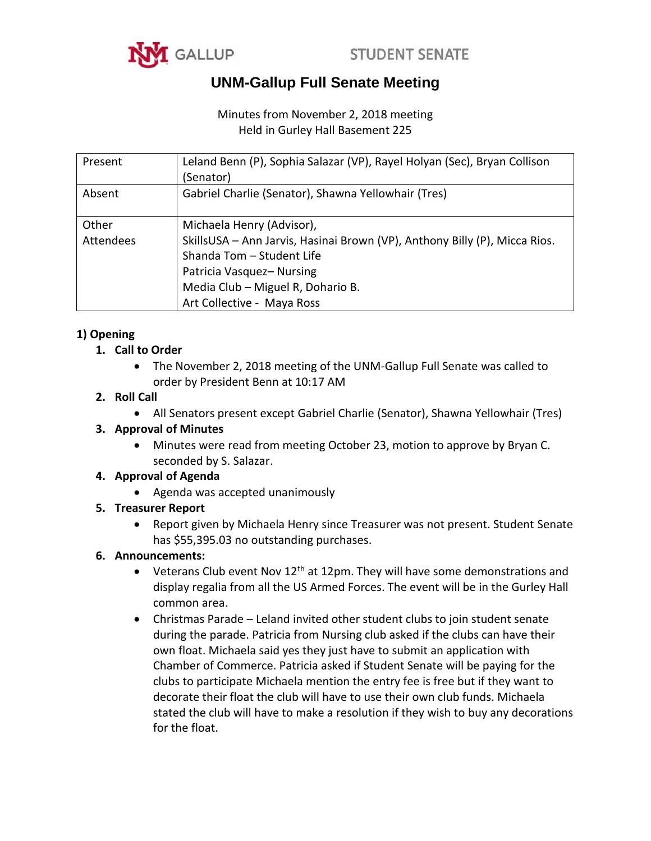



## **UNM-Gallup Full Senate Meeting**

## Minutes from November 2, 2018 meeting Held in Gurley Hall Basement 225

| Present   | Leland Benn (P), Sophia Salazar (VP), Rayel Holyan (Sec), Bryan Collison<br>(Senator)                                                                                                                  |
|-----------|--------------------------------------------------------------------------------------------------------------------------------------------------------------------------------------------------------|
| Absent    | Gabriel Charlie (Senator), Shawna Yellowhair (Tres)                                                                                                                                                    |
| Other     | Michaela Henry (Advisor),                                                                                                                                                                              |
| Attendees | SkillsUSA - Ann Jarvis, Hasinai Brown (VP), Anthony Billy (P), Micca Rios.<br>Shanda Tom - Student Life<br>Patricia Vasquez-Nursing<br>Media Club - Miguel R, Dohario B.<br>Art Collective - Maya Ross |

## **1) Opening**

## **1. Call to Order**

 The November 2, 2018 meeting of the UNM-Gallup Full Senate was called to order by President Benn at 10:17 AM

## **2. Roll Call**

All Senators present except Gabriel Charlie (Senator), Shawna Yellowhair (Tres)

## **3. Approval of Minutes**

 Minutes were read from meeting October 23, motion to approve by Bryan C. seconded by S. Salazar.

## **4. Approval of Agenda**

Agenda was accepted unanimously

## **5. Treasurer Report**

 Report given by Michaela Henry since Treasurer was not present. Student Senate has \$55,395.03 no outstanding purchases.

## **6. Announcements:**

- Veterans Club event Nov  $12<sup>th</sup>$  at 12pm. They will have some demonstrations and display regalia from all the US Armed Forces. The event will be in the Gurley Hall common area.
- Christmas Parade Leland invited other student clubs to join student senate during the parade. Patricia from Nursing club asked if the clubs can have their own float. Michaela said yes they just have to submit an application with Chamber of Commerce. Patricia asked if Student Senate will be paying for the clubs to participate Michaela mention the entry fee is free but if they want to decorate their float the club will have to use their own club funds. Michaela stated the club will have to make a resolution if they wish to buy any decorations for the float.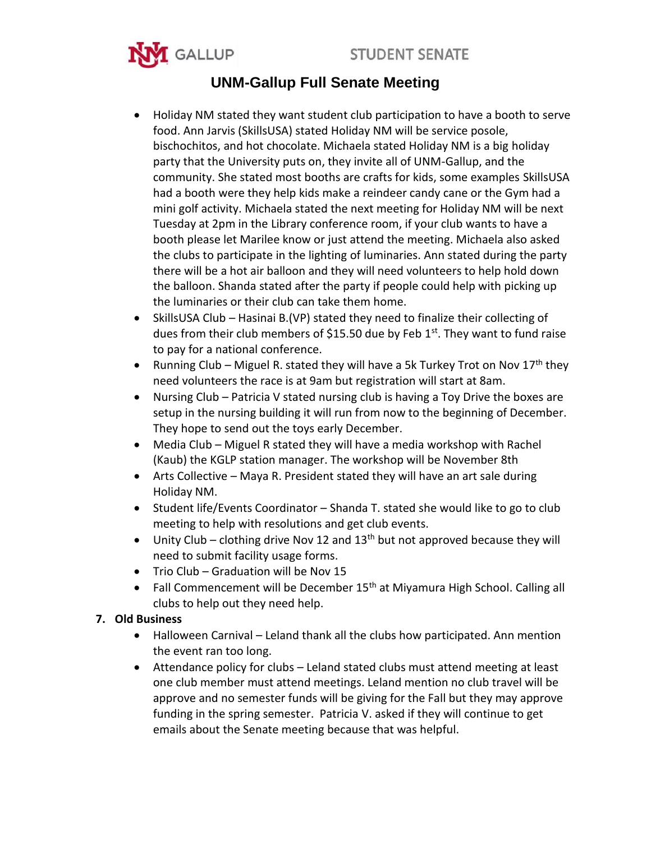



# **UNM-Gallup Full Senate Meeting**

- Holiday NM stated they want student club participation to have a booth to serve food. Ann Jarvis (SkillsUSA) stated Holiday NM will be service posole, bischochitos, and hot chocolate. Michaela stated Holiday NM is a big holiday party that the University puts on, they invite all of UNM-Gallup, and the community. She stated most booths are crafts for kids, some examples SkillsUSA had a booth were they help kids make a reindeer candy cane or the Gym had a mini golf activity. Michaela stated the next meeting for Holiday NM will be next Tuesday at 2pm in the Library conference room, if your club wants to have a booth please let Marilee know or just attend the meeting. Michaela also asked the clubs to participate in the lighting of luminaries. Ann stated during the party there will be a hot air balloon and they will need volunteers to help hold down the balloon. Shanda stated after the party if people could help with picking up the luminaries or their club can take them home.
- SkillsUSA Club Hasinai B.(VP) stated they need to finalize their collecting of dues from their club members of \$15.50 due by Feb  $1<sup>st</sup>$ . They want to fund raise to pay for a national conference.
- Running Club Miguel R. stated they will have a 5k Turkey Trot on Nov  $17^{th}$  they need volunteers the race is at 9am but registration will start at 8am.
- Nursing Club Patricia V stated nursing club is having a Toy Drive the boxes are setup in the nursing building it will run from now to the beginning of December. They hope to send out the toys early December.
- Media Club Miguel R stated they will have a media workshop with Rachel (Kaub) the KGLP station manager. The workshop will be November 8th
- Arts Collective Maya R. President stated they will have an art sale during Holiday NM.
- Student life/Events Coordinator Shanda T. stated she would like to go to club meeting to help with resolutions and get club events.
- $\bullet$  Unity Club clothing drive Nov 12 and 13<sup>th</sup> but not approved because they will need to submit facility usage forms.
- Trio Club Graduation will be Nov 15
- Fall Commencement will be December  $15<sup>th</sup>$  at Miyamura High School. Calling all clubs to help out they need help.

## **7. Old Business**

- Halloween Carnival Leland thank all the clubs how participated. Ann mention the event ran too long.
- Attendance policy for clubs Leland stated clubs must attend meeting at least one club member must attend meetings. Leland mention no club travel will be approve and no semester funds will be giving for the Fall but they may approve funding in the spring semester. Patricia V. asked if they will continue to get emails about the Senate meeting because that was helpful.